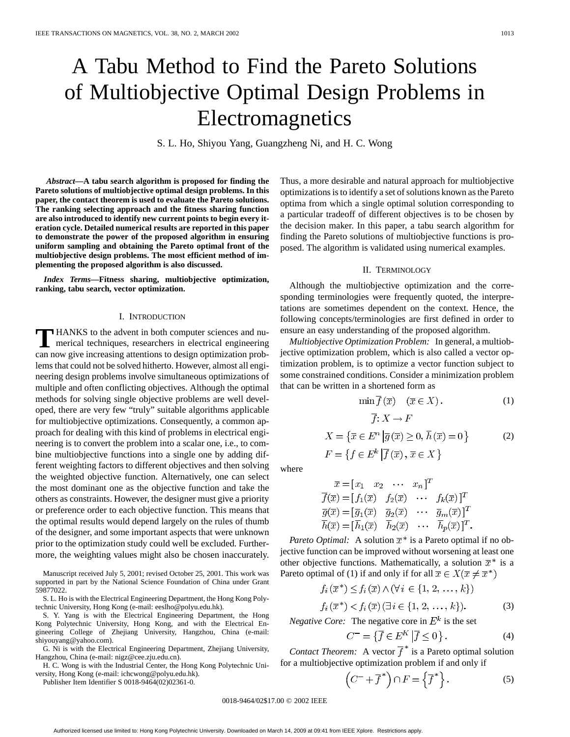# A Tabu Method to Find the Pareto Solutions of Multiobjective Optimal Design Problems in Electromagnetics

S. L. Ho, Shiyou Yang, Guangzheng Ni, and H. C. Wong

*Abstract—***A tabu search algorithm is proposed for finding the Pareto solutions of multiobjective optimal design problems. In this paper, the contact theorem is used to evaluate the Pareto solutions. The ranking selecting approach and the fitness sharing function are also introduced to identify new current points to begin every iteration cycle. Detailed numerical results are reported in this paper to demonstrate the power of the proposed algorithm in ensuring uniform sampling and obtaining the Pareto optimal front of the multiobjective design problems. The most efficient method of implementing the proposed algorithm is also discussed.**

*Index Terms—***Fitness sharing, multiobjective optimization, ranking, tabu search, vector optimization.**

## I. INTRODUCTION

**T** HANKS to the advent in both computer sciences and numerical techniques, researchers in electrical engineering can now give increasing attentions to design optimization problems that could not be solved hitherto. However, almost all engineering design problems involve simultaneous optimizations of multiple and often conflicting objectives. Although the optimal methods for solving single objective problems are well developed, there are very few "truly" suitable algorithms applicable for multiobjective optimizations. Consequently, a common approach for dealing with this kind of problems in electrical engineering is to convert the problem into a scalar one, i.e., to combine multiobjective functions into a single one by adding different weighting factors to different objectives and then solving the weighted objective function. Alternatively, one can select the most dominant one as the objective function and take the others as constraints. However, the designer must give a priority or preference order to each objective function. This means that the optimal results would depend largely on the rules of thumb of the designer, and some important aspects that were unknown prior to the optimization study could well be excluded. Furthermore, the weighting values might also be chosen inaccurately.

Manuscript received July 5, 2001; revised October 25, 2001. This work was supported in part by the National Science Foundation of China under Grant 59877022.

S. L. Ho is with the Electrical Engineering Department, the Hong Kong Polytechnic University, Hong Kong (e-mail: eeslho@polyu.edu.hk).

S. Y. Yang is with the Electrical Engineering Department, the Hong Kong Polytechnic University, Hong Kong, and with the Electrical Engineering College of Zhejiang University, Hangzhou, China (e-mail: shiyouyang@yahoo.com).

G. Ni is with the Electrical Engineering Department, Zhejiang University, Hangzhou, China (e-mail: nigz@cee.zju.edu.cn).

H. C. Wong is with the Industrial Center, the Hong Kong Polytechnic University, Hong Kong (e-mail: ichcwong@polyu.edu.hk).

Publisher Item Identifier S 0018-9464(02)02361-0.

Thus, a more desirable and natural approach for multiobjective optimizations is to identify a set of solutions known as the Pareto optima from which a single optimal solution corresponding to a particular tradeoff of different objectives is to be chosen by the decision maker. In this paper, a tabu search algorithm for finding the Pareto solutions of multiobjective functions is proposed. The algorithm is validated using numerical examples.

## II. TERMINOLOGY

Although the multiobjective optimization and the corresponding terminologies were frequently quoted, the interpretations are sometimes dependent on the context. Hence, the following concepts/terminologies are first defined in order to ensure an easy understanding of the proposed algorithm.

*Multiobjective Optimization Problem:* In general, a multiobjective optimization problem, which is also called a vector optimization problem, is to optimize a vector function subject to some constrained conditions. Consider a minimization problem that can be written in a shortened form as

$$
\min \overline{f}(\overline{x}) \quad (\overline{x} \in X). \tag{1}
$$

$$
f: X \to F
$$
  
\n
$$
X = \{\overline{x} \in E^n | \overline{g}(\overline{x}) \ge 0, \overline{h}(\overline{x}) = 0\}
$$
 (2)  
\n
$$
F = \{f \in E^k | \overline{f}(\overline{x}), \overline{x} \in X\}
$$

where

 $\boldsymbol{X}$ 

$$
\overline{x} = [x_1 \quad x_2 \quad \cdots \quad x_n]^T
$$

$$
\overline{f}(\overline{x}) = [f_1(\overline{x}) \quad f_2(\overline{x}) \quad \cdots \quad f_k(\overline{x})]^T
$$

$$
\overline{g}(\overline{x}) = [\overline{g}_1(\overline{x}) \quad \overline{g}_2(\overline{x}) \quad \cdots \quad \overline{g}_m(\overline{x})]^T
$$

$$
\overline{h}(\overline{x}) = [\overline{h}_1(\overline{x}) \quad \overline{h}_2(\overline{x}) \quad \cdots \quad \overline{h}_p(\overline{x})]^T.
$$

*Pareto Optimal:* A solution  $\overline{x}^*$  is a Pareto optimal if no objective function can be improved without worsening at least one other objective functions. Mathematically, a solution  $\overline{x}^*$  is a Pareto optimal of (1) if and only if for all  $\overline{x} \in X(\overline{x} \neq \overline{x}^*)$ 

$$
f_i(\overline{x}^*) \le f_i(\overline{x}) \land (\forall i \in \{1, 2, ..., k\})
$$

$$
f_i(\overline{x}^*) < f_i(\overline{x}) (\exists i \in \{1, 2, ..., k\}).
$$
 (3)

*Negative Core:* The negative core in  $E^k$  is the set

$$
C^{-} = \left\{ \overline{f} \in E^{K} \mid \overline{f} \le 0 \right\}.
$$
 (4)

*Contact Theorem:* A vector  $\overline{f}^*$  is a Pareto optimal solution for a multiobjective optimization problem if and only if

$$
\left(C^{-} + \overline{f}^{*}\right) \cap F = \left\{\overline{f}^{*}\right\}.
$$
 (5)

0018-9464/02\$17.00 © 2002 IEEE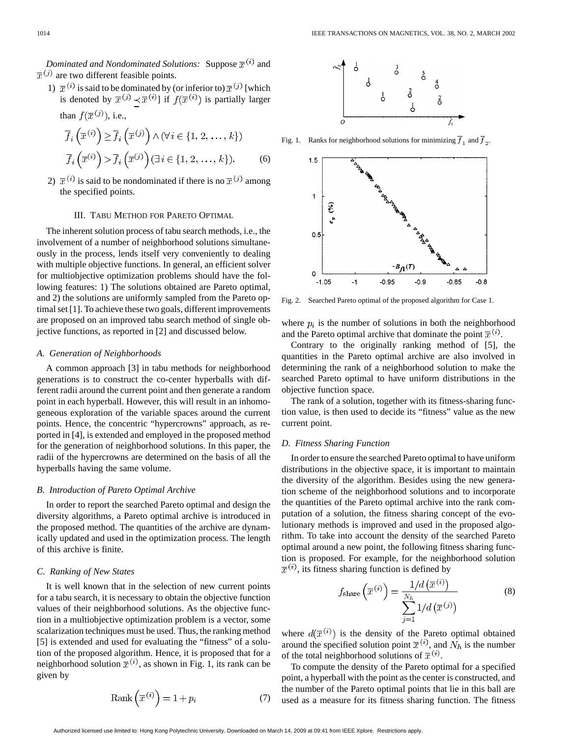*Dominated and Nondominated Solutions:* Suppose  $\overline{x}^{(i)}$  and  $\overline{x}^{(j)}$  are two different feasible points.

1)  $\bar{x}^{(i)}$  is said to be dominated by (or inferior to)  $\bar{x}^{(j)}$  [which is denoted by  $\overline{x}^{(j)} \prec \overline{x}^{(i)}$  if  $f(\overline{x}^{(i)})$  is partially larger than  $f(\overline{x}^{(j)})$ , i.e.,

$$
\overline{f}_i\left(\overline{x}^{(i)}\right) \ge \overline{f}_i\left(\overline{x}^{(j)}\right) \wedge (\forall i \in \{1, 2, ..., k\})
$$

$$
\overline{f}_i\left(\overline{x}^{(i)}\right) > \overline{f}_i\left(\overline{x}^{(j)}\right) (\exists i \in \{1, 2, ..., k\}).
$$
 (6)

2)  $\overline{x}^{(i)}$  is said to be nondominated if there is no  $\overline{x}^{(j)}$  among the specified points.

# III. TABU METHOD FOR PARETO OPTIMAL

The inherent solution process of tabu search methods, i.e., the involvement of a number of neighborhood solutions simultaneously in the process, lends itself very conveniently to dealing with multiple objective functions. In general, an efficient solver for multiobjective optimization problems should have the following features: 1) The solutions obtained are Pareto optimal, and 2) the solutions are uniformly sampled from the Pareto optimal set [1]. To achieve these two goals, different improvements are proposed on an improved tabu search method of single objective functions, as reported in [2] and discussed below.

# *A. Generation of Neighborhoods*

A common approach [3] in tabu methods for neighborhood generations is to construct the co-center hyperballs with different radii around the current point and then generate a random point in each hyperball. However, this will result in an inhomogeneous exploration of the variable spaces around the current points. Hence, the concentric "hypercrowns" approach, as reported in [4], is extended and employed in the proposed method for the generation of neighborhood solutions. In this paper, the radii of the hypercrowns are determined on the basis of all the hyperballs having the same volume.

## *B. Introduction of Pareto Optimal Archive*

In order to report the searched Pareto optimal and design the diversity algorithms, a Pareto optimal archive is introduced in the proposed method. The quantities of the archive are dynamically updated and used in the optimization process. The length of this archive is finite.

## *C. Ranking of New States*

It is well known that in the selection of new current points for a tabu search, it is necessary to obtain the objective function values of their neighborhood solutions. As the objective function in a multiobjective optimization problem is a vector, some scalarization techniques must be used. Thus, the ranking method [5] is extended and used for evaluating the "fitness" of a solution of the proposed algorithm. Hence, it is proposed that for a neighborhood solution  $\overline{x}^{(i)}$ , as shown in Fig. 1, its rank can be given by

$$
Rank\left(\overline{x}^{(i)}\right) = 1 + p_i \tag{7}
$$



Fig. 1. Ranks for neighborhood solutions for minimizing  $\overline{f}_1$  and  $\overline{f}_2$ .



Fig. 2. Searched Pareto optimal of the proposed algorithm for Case 1.

where  $p_i$  is the number of solutions in both the neighborhood and the Pareto optimal archive that dominate the point  $\overline{x}^{(i)}$ .

Contrary to the originally ranking method of [5], the quantities in the Pareto optimal archive are also involved in determining the rank of a neighborhood solution to make the searched Pareto optimal to have uniform distributions in the objective function space.

The rank of a solution, together with its fitness-sharing function value, is then used to decide its "fitness" value as the new current point.

#### *D. Fitness Sharing Function*

In order to ensure the searched Pareto optimal to have uniform distributions in the objective space, it is important to maintain the diversity of the algorithm. Besides using the new generation scheme of the neighborhood solutions and to incorporate the quantities of the Pareto optimal archive into the rank computation of a solution, the fitness sharing concept of the evolutionary methods is improved and used in the proposed algorithm. To take into account the density of the searched Pareto optimal around a new point, the following fitness sharing function is proposed. For example, for the neighborhood solution  $\overline{x}^{(i)}$ , its fitness sharing function is defined by

$$
f_{\text{share}}\left(\overline{x}^{(i)}\right) = \frac{1/d\left(\overline{x}^{(i)}\right)}{\sum_{j=1}^{N_h} 1/d\left(\overline{x}^{(j)}\right)}\tag{8}
$$

where  $d(\overline{x}^{(i)})$  is the density of the Pareto optimal obtained around the specified solution point  $\overline{x}^{(i)}$ , and  $N_h$  is the number of the total neighborhood solutions of  $\overline{x}^{(i)}$ .

To compute the density of the Pareto optimal for a specified point, a hyperball with the point as the center is constructed, and the number of the Pareto optimal points that lie in this ball are used as a measure for its fitness sharing function. The fitness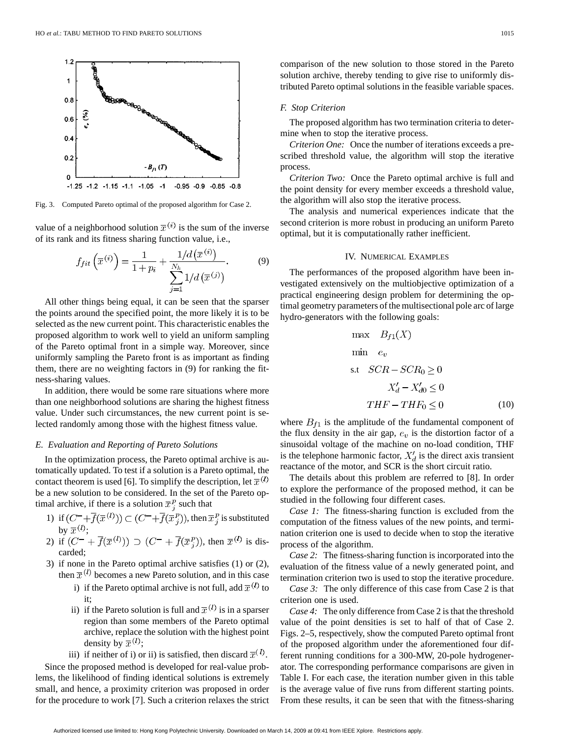

Fig. 3. Computed Pareto optimal of the proposed algorithm for Case 2.

value of a neighborhood solution  $\overline{x}^{(i)}$  is the sum of the inverse of its rank and its fitness sharing function value, i.e.,

$$
f_{fit}\left(\overline{x}^{(i)}\right) = \frac{1}{1+p_i} + \frac{1/d\left(\overline{x}^{(i)}\right)}{\sum_{j=1}^{N_h} 1/d\left(\overline{x}^{(j)}\right)}.
$$
 (9)

All other things being equal, it can be seen that the sparser the points around the specified point, the more likely it is to be selected as the new current point. This characteristic enables the proposed algorithm to work well to yield an uniform sampling of the Pareto optimal front in a simple way. Moreover, since uniformly sampling the Pareto front is as important as finding them, there are no weighting factors in (9) for ranking the fitness-sharing values.

In addition, there would be some rare situations where more than one neighborhood solutions are sharing the highest fitness value. Under such circumstances, the new current point is selected randomly among those with the highest fitness value.

# *E. Evaluation and Reporting of Pareto Solutions*

In the optimization process, the Pareto optimal archive is automatically updated. To test if a solution is a Pareto optimal, the contact theorem is used [6]. To simplify the description, let  $\overline{x}^{(l)}$ be a new solution to be considered. In the set of the Pareto optimal archive, if there is a solution  $\overline{x}_j^p$  such that

- 1) if  $(C^{\dagger} + \overline{f}(\overline{x}^{(l)})) \subset (C^{\dagger} + \overline{f}(\overline{x}_j^p))$ , then  $\overline{x}_j^p$  is substituted by  $\overline{x}^{(l)}$ ;
- 2) if  $(C^- + \overline{f}(\overline{x}^{(l)})$   $\supset (C^- + \overline{f}(\overline{x}_j^{(l)}))$ , then  $\overline{x}^{(l)}$  is discarded;
- 3) if none in the Pareto optimal archive satisfies (1) or (2), then  $\overline{x}^{(l)}$  becomes a new Pareto solution, and in this case
	- i) if the Pareto optimal archive is not full, add  $\overline{x}^{(l)}$  to it;
	- ii) if the Pareto solution is full and  $\overline{x}^{(l)}$  is in a sparser region than some members of the Pareto optimal archive, replace the solution with the highest point density by  $\overline{x}^{(l)}$ ;
	- iii) if neither of i) or ii) is satisfied, then discard  $\overline{x}^{(l)}$ .

Since the proposed method is developed for real-value problems, the likelihood of finding identical solutions is extremely small, and hence, a proximity criterion was proposed in order for the procedure to work [7]. Such a criterion relaxes the strict comparison of the new solution to those stored in the Pareto solution archive, thereby tending to give rise to uniformly distributed Pareto optimal solutions in the feasible variable spaces.

### *F. Stop Criterion*

The proposed algorithm has two termination criteria to determine when to stop the iterative process.

*Criterion One:* Once the number of iterations exceeds a prescribed threshold value, the algorithm will stop the iterative process.

*Criterion Two:* Once the Pareto optimal archive is full and the point density for every member exceeds a threshold value, the algorithm will also stop the iterative process.

The analysis and numerical experiences indicate that the second criterion is more robust in producing an uniform Pareto optimal, but it is computationally rather inefficient.

# IV. NUMERICAL EXAMPLES

The performances of the proposed algorithm have been investigated extensively on the multiobjective optimization of a practical engineering design problem for determining the optimal geometry parameters of the multisectional pole arc of large hydro-generators with the following goals:

$$
\max \quad B_{f1}(X)
$$
\n
$$
\min \quad e_v
$$
\n
$$
\text{s.t} \quad SCR - SCR_0 \ge 0
$$
\n
$$
X'_d - X'_{d0} \le 0
$$
\n
$$
THF - THF_0 \le 0 \tag{10}
$$

where  $B_{f1}$  is the amplitude of the fundamental component of the flux density in the air gap,  $e_v$  is the distortion factor of a sinusoidal voltage of the machine on no-load condition, THF is the telephone harmonic factor,  $X_d$  is the direct axis transient reactance of the motor, and SCR is the short circuit ratio.

The details about this problem are referred to [8]. In order to explore the performance of the proposed method, it can be studied in the following four different cases.

*Case 1:* The fitness-sharing function is excluded from the computation of the fitness values of the new points, and termination criterion one is used to decide when to stop the iterative process of the algorithm.

*Case 2:* The fitness-sharing function is incorporated into the evaluation of the fitness value of a newly generated point, and termination criterion two is used to stop the iterative procedure.

*Case 3:* The only difference of this case from Case 2 is that criterion one is used.

*Case 4:* The only difference from Case 2 is that the threshold value of the point densities is set to half of that of Case 2. Figs. 2–5, respectively, show the computed Pareto optimal front of the proposed algorithm under the aforementioned four different running conditions for a 300-MW, 20-pole hydrogenerator. The corresponding performance comparisons are given in Table I. For each case, the iteration number given in this table is the average value of five runs from different starting points. From these results, it can be seen that with the fitness-sharing